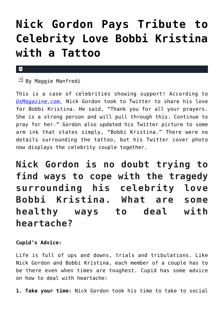## **[Nick Gordon Pays Tribute to](https://cupidspulse.com/86954/nick-gordon-celebrity-love-bobbi-kristina-tattoo/) [Celebrity Love Bobbi Kristina](https://cupidspulse.com/86954/nick-gordon-celebrity-love-bobbi-kristina-tattoo/) [with a Tattoo](https://cupidspulse.com/86954/nick-gordon-celebrity-love-bobbi-kristina-tattoo/)**

## $\mathbf{x}$

 $\overline{B}$  By Maggie Manfredi

This is a case of celebrities showing support! According to *[UsMagazine.com,](http://www.usmagazine.com/celebrity-news/news/nick-gordon-shares-bobbi-kristina-tattoo-says-shell-pull-through-2015172)* Nick Gordon took to Twitter to share his love for Bobbi Kristina. He said, "Thank you for all your prayers. She is a strong person and will pull through this. Continue to pray for her." Gordon also updated his Twitter picture to some arm ink that states simply, "Bobbi Kristina." There were no details surrounding the tattoo, but his Twitter cover photo now displays the celebrity couple together.

**Nick Gordon is no doubt trying to find ways to cope with the tragedy surrounding his celebrity love Bobbi Kristina. What are some healthy ways to deal with heartache?**

## **Cupid's Advice:**

Life is full of ups and downs, trials and tribulations. Like Nick Gordon and Bobbi Kristina, each member of a couple has to be there even when times are toughest. Cupid has some advice on how to deal with heartache:

**1. Take your time:** Nick Gordon took his time to take to social